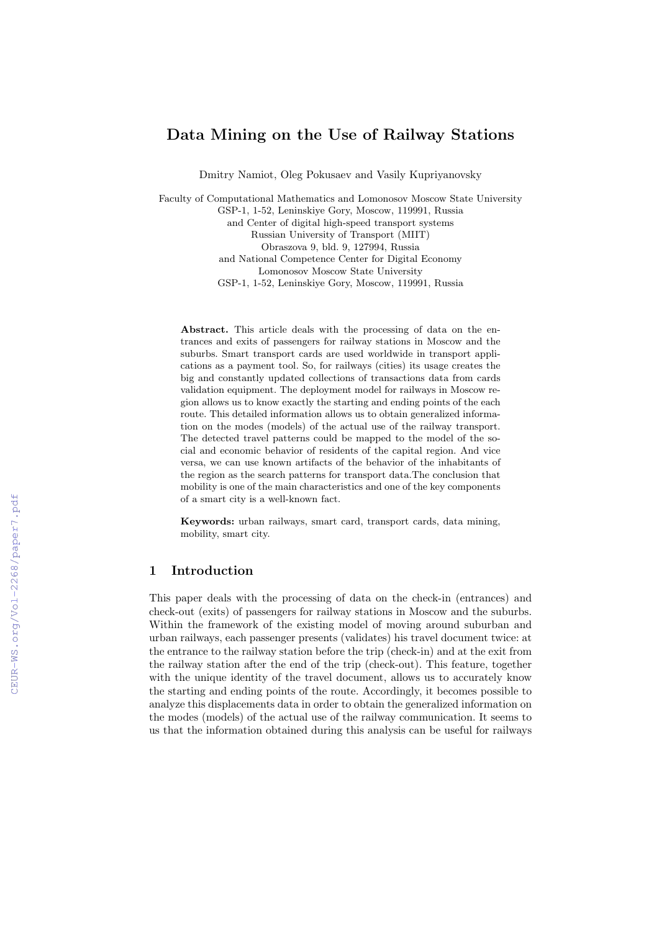# Data Mining on the Use of Railway Stations

Dmitry Namiot, Oleg Pokusaev and Vasily Kupriyanovsky

Faculty of Computational Mathematics and Lomonosov Moscow State University GSP-1, 1-52, Leninskiye Gory, Moscow, 119991, Russia and Center of digital high-speed transport systems Russian University of Transport (MIIT) Obraszova 9, bld. 9, 127994, Russia and National Competence Center for Digital Economy Lomonosov Moscow State University GSP-1, 1-52, Leninskiye Gory, Moscow, 119991, Russia

Abstract. This article deals with the processing of data on the entrances and exits of passengers for railway stations in Moscow and the suburbs. Smart transport cards are used worldwide in transport applications as a payment tool. So, for railways (cities) its usage creates the big and constantly updated collections of transactions data from cards validation equipment. The deployment model for railways in Moscow region allows us to know exactly the starting and ending points of the each route. This detailed information allows us to obtain generalized information on the modes (models) of the actual use of the railway transport. The detected travel patterns could be mapped to the model of the social and economic behavior of residents of the capital region. And vice versa, we can use known artifacts of the behavior of the inhabitants of the region as the search patterns for transport data.The conclusion that mobility is one of the main characteristics and one of the key components of a smart city is a well-known fact.

Keywords: urban railways, smart card, transport cards, data mining, mobility, smart city.

# 1 Introduction

This paper deals with the processing of data on the check-in (entrances) and check-out (exits) of passengers for railway stations in Moscow and the suburbs. Within the framework of the existing model of moving around suburban and urban railways, each passenger presents (validates) his travel document twice: at the entrance to the railway station before the trip (check-in) and at the exit from the railway station after the end of the trip (check-out). This feature, together with the unique identity of the travel document, allows us to accurately know the starting and ending points of the route. Accordingly, it becomes possible to analyze this displacements data in order to obtain the generalized information on the modes (models) of the actual use of the railway communication. It seems to us that the information obtained during this analysis can be useful for railways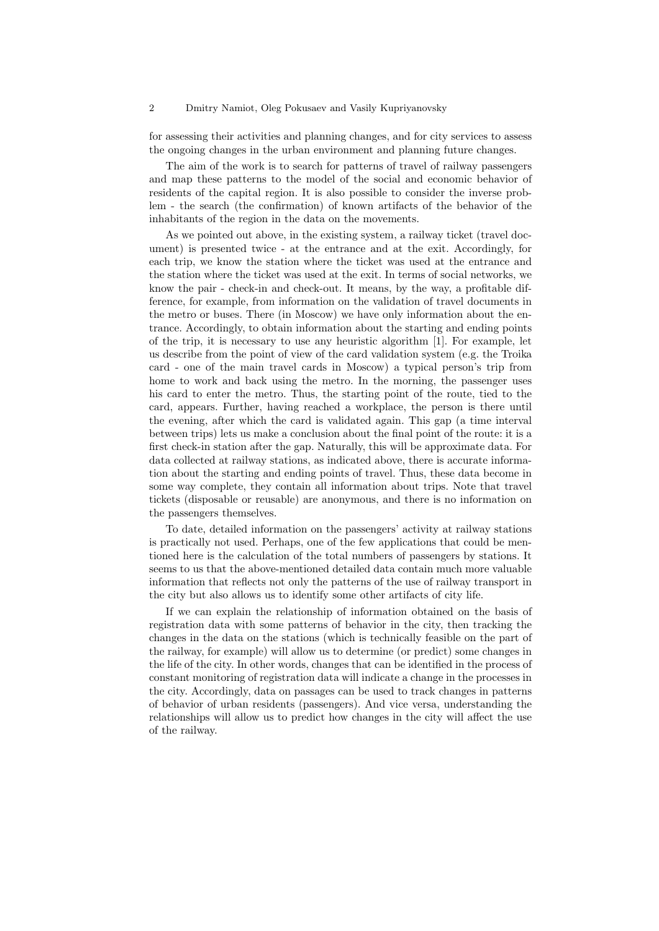#### 2 Dmitry Namiot, Oleg Pokusaev and Vasily Kupriyanovsky

for assessing their activities and planning changes, and for city services to assess the ongoing changes in the urban environment and planning future changes.

The aim of the work is to search for patterns of travel of railway passengers and map these patterns to the model of the social and economic behavior of residents of the capital region. It is also possible to consider the inverse problem - the search (the confirmation) of known artifacts of the behavior of the inhabitants of the region in the data on the movements.

As we pointed out above, in the existing system, a railway ticket (travel document) is presented twice - at the entrance and at the exit. Accordingly, for each trip, we know the station where the ticket was used at the entrance and the station where the ticket was used at the exit. In terms of social networks, we know the pair - check-in and check-out. It means, by the way, a profitable difference, for example, from information on the validation of travel documents in the metro or buses. There (in Moscow) we have only information about the entrance. Accordingly, to obtain information about the starting and ending points of the trip, it is necessary to use any heuristic algorithm [1]. For example, let us describe from the point of view of the card validation system (e.g. the Troika card - one of the main travel cards in Moscow) a typical person's trip from home to work and back using the metro. In the morning, the passenger uses his card to enter the metro. Thus, the starting point of the route, tied to the card, appears. Further, having reached a workplace, the person is there until the evening, after which the card is validated again. This gap (a time interval between trips) lets us make a conclusion about the final point of the route: it is a first check-in station after the gap. Naturally, this will be approximate data. For data collected at railway stations, as indicated above, there is accurate information about the starting and ending points of travel. Thus, these data become in some way complete, they contain all information about trips. Note that travel tickets (disposable or reusable) are anonymous, and there is no information on the passengers themselves.

To date, detailed information on the passengers' activity at railway stations is practically not used. Perhaps, one of the few applications that could be mentioned here is the calculation of the total numbers of passengers by stations. It seems to us that the above-mentioned detailed data contain much more valuable information that reflects not only the patterns of the use of railway transport in the city but also allows us to identify some other artifacts of city life.

If we can explain the relationship of information obtained on the basis of registration data with some patterns of behavior in the city, then tracking the changes in the data on the stations (which is technically feasible on the part of the railway, for example) will allow us to determine (or predict) some changes in the life of the city. In other words, changes that can be identified in the process of constant monitoring of registration data will indicate a change in the processes in the city. Accordingly, data on passages can be used to track changes in patterns of behavior of urban residents (passengers). And vice versa, understanding the relationships will allow us to predict how changes in the city will affect the use of the railway.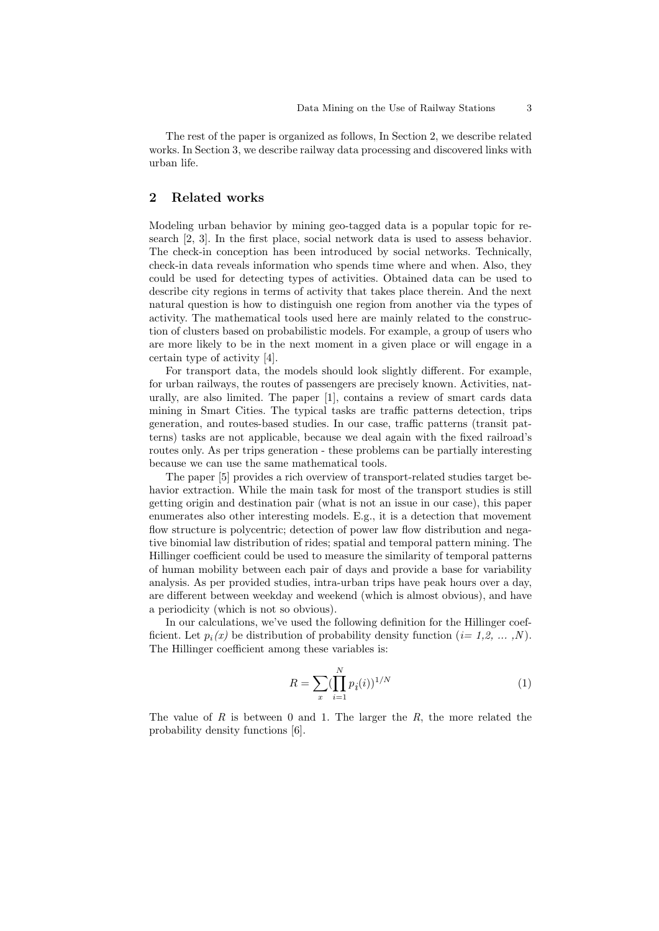The rest of the paper is organized as follows, In Section 2, we describe related works. In Section 3, we describe railway data processing and discovered links with urban life.

# 2 Related works

Modeling urban behavior by mining geo-tagged data is a popular topic for research [2, 3]. In the first place, social network data is used to assess behavior. The check-in conception has been introduced by social networks. Technically, check-in data reveals information who spends time where and when. Also, they could be used for detecting types of activities. Obtained data can be used to describe city regions in terms of activity that takes place therein. And the next natural question is how to distinguish one region from another via the types of activity. The mathematical tools used here are mainly related to the construction of clusters based on probabilistic models. For example, a group of users who are more likely to be in the next moment in a given place or will engage in a certain type of activity [4].

For transport data, the models should look slightly different. For example, for urban railways, the routes of passengers are precisely known. Activities, naturally, are also limited. The paper [1], contains a review of smart cards data mining in Smart Cities. The typical tasks are traffic patterns detection, trips generation, and routes-based studies. In our case, traffic patterns (transit patterns) tasks are not applicable, because we deal again with the fixed railroad's routes only. As per trips generation - these problems can be partially interesting because we can use the same mathematical tools.

The paper [5] provides a rich overview of transport-related studies target behavior extraction. While the main task for most of the transport studies is still getting origin and destination pair (what is not an issue in our case), this paper enumerates also other interesting models. E.g., it is a detection that movement flow structure is polycentric; detection of power law flow distribution and negative binomial law distribution of rides; spatial and temporal pattern mining. The Hillinger coefficient could be used to measure the similarity of temporal patterns of human mobility between each pair of days and provide a base for variability analysis. As per provided studies, intra-urban trips have peak hours over a day, are different between weekday and weekend (which is almost obvious), and have a periodicity (which is not so obvious).

In our calculations, we've used the following definition for the Hillinger coefficient. Let  $p_i(x)$  be distribution of probability density function  $(i=1,2,\ldots,N)$ . The Hillinger coefficient among these variables is:

$$
R = \sum_{x} \left(\prod_{i=1}^{N} p_i(i)\right)^{1/N} \tag{1}
$$

The value of R is between 0 and 1. The larger the  $R$ , the more related the probability density functions [6].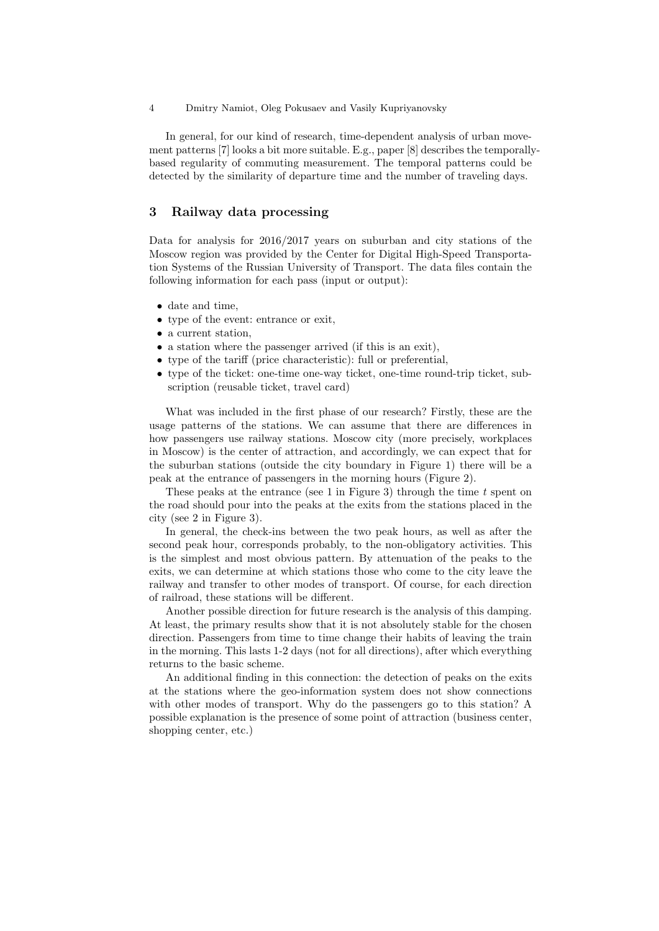In general, for our kind of research, time-dependent analysis of urban movement patterns [7] looks a bit more suitable. E.g., paper [8] describes the temporallybased regularity of commuting measurement. The temporal patterns could be detected by the similarity of departure time and the number of traveling days.

# 3 Railway data processing

Data for analysis for 2016/2017 years on suburban and city stations of the Moscow region was provided by the Center for Digital High-Speed Transportation Systems of the Russian University of Transport. The data files contain the following information for each pass (input or output):

- date and time,
- type of the event: entrance or exit,
- a current station,
- a station where the passenger arrived (if this is an exit),
- type of the tariff (price characteristic): full or preferential,
- type of the ticket: one-time one-way ticket, one-time round-trip ticket, subscription (reusable ticket, travel card)

What was included in the first phase of our research? Firstly, these are the usage patterns of the stations. We can assume that there are differences in how passengers use railway stations. Moscow city (more precisely, workplaces in Moscow) is the center of attraction, and accordingly, we can expect that for the suburban stations (outside the city boundary in Figure 1) there will be a peak at the entrance of passengers in the morning hours (Figure 2).

These peaks at the entrance (see 1 in Figure 3) through the time  $t$  spent on the road should pour into the peaks at the exits from the stations placed in the city (see 2 in Figure 3).

In general, the check-ins between the two peak hours, as well as after the second peak hour, corresponds probably, to the non-obligatory activities. This is the simplest and most obvious pattern. By attenuation of the peaks to the exits, we can determine at which stations those who come to the city leave the railway and transfer to other modes of transport. Of course, for each direction of railroad, these stations will be different.

Another possible direction for future research is the analysis of this damping. At least, the primary results show that it is not absolutely stable for the chosen direction. Passengers from time to time change their habits of leaving the train in the morning. This lasts 1-2 days (not for all directions), after which everything returns to the basic scheme.

An additional finding in this connection: the detection of peaks on the exits at the stations where the geo-information system does not show connections with other modes of transport. Why do the passengers go to this station? A possible explanation is the presence of some point of attraction (business center, shopping center, etc.)

<sup>4</sup> Dmitry Namiot, Oleg Pokusaev and Vasily Kupriyanovsky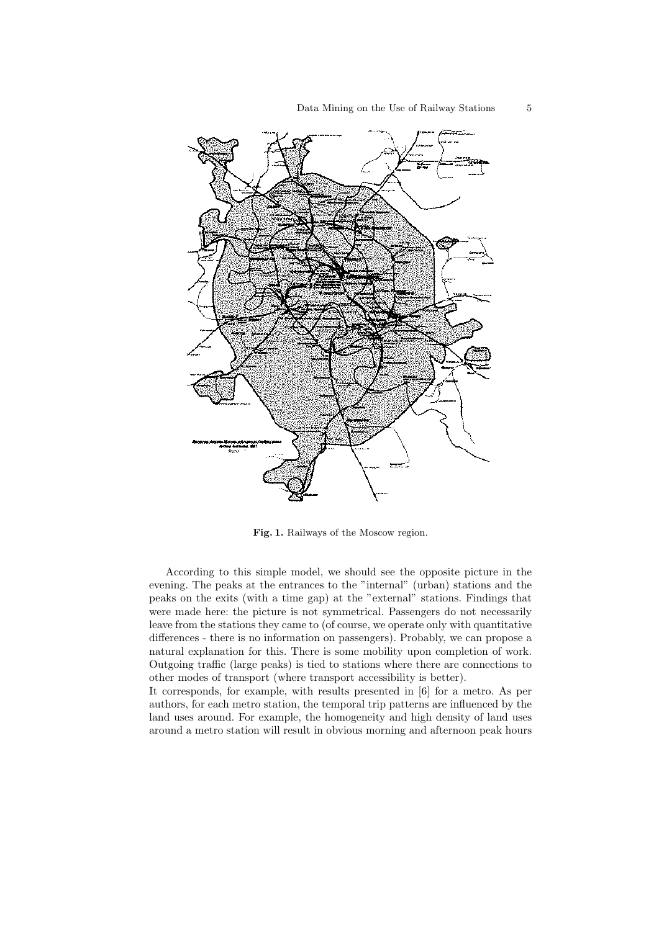

Fig. 1. Railways of the Moscow region.

According to this simple model, we should see the opposite picture in the evening. The peaks at the entrances to the "internal" (urban) stations and the peaks on the exits (with a time gap) at the "external" stations. Findings that were made here: the picture is not symmetrical. Passengers do not necessarily leave from the stations they came to (of course, we operate only with quantitative differences - there is no information on passengers). Probably, we can propose a natural explanation for this. There is some mobility upon completion of work. Outgoing traffic (large peaks) is tied to stations where there are connections to other modes of transport (where transport accessibility is better).

It corresponds, for example, with results presented in [6] for a metro. As per authors, for each metro station, the temporal trip patterns are influenced by the land uses around. For example, the homogeneity and high density of land uses around a metro station will result in obvious morning and afternoon peak hours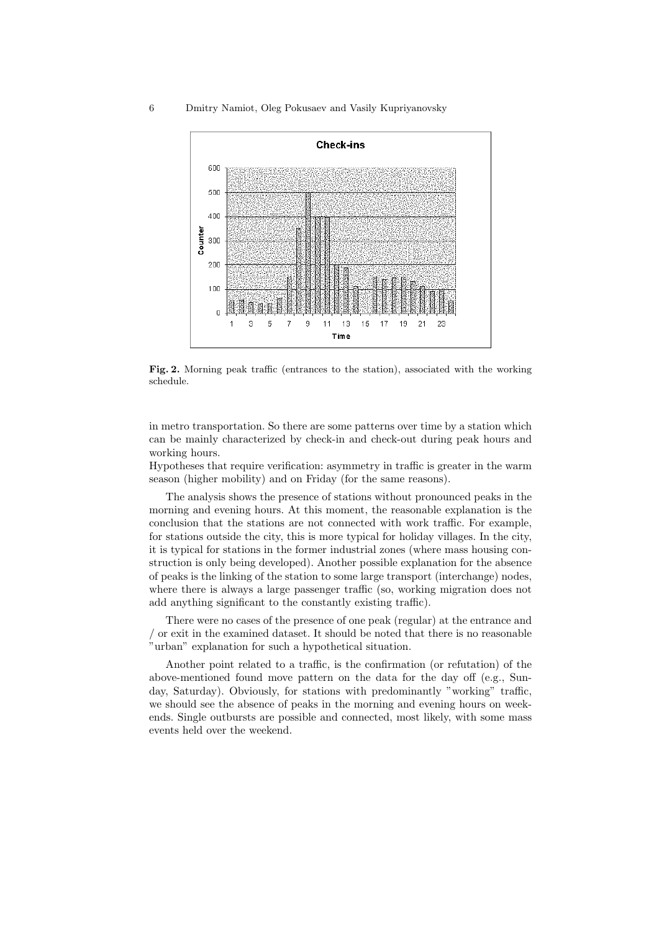#### 6 Dmitry Namiot, Oleg Pokusaev and Vasily Kupriyanovsky



Fig. 2. Morning peak traffic (entrances to the station), associated with the working schedule.

in metro transportation. So there are some patterns over time by a station which can be mainly characterized by check-in and check-out during peak hours and working hours.

Hypotheses that require verification: asymmetry in traffic is greater in the warm season (higher mobility) and on Friday (for the same reasons).

The analysis shows the presence of stations without pronounced peaks in the morning and evening hours. At this moment, the reasonable explanation is the conclusion that the stations are not connected with work traffic. For example, for stations outside the city, this is more typical for holiday villages. In the city, it is typical for stations in the former industrial zones (where mass housing construction is only being developed). Another possible explanation for the absence of peaks is the linking of the station to some large transport (interchange) nodes, where there is always a large passenger traffic (so, working migration does not add anything significant to the constantly existing traffic).

There were no cases of the presence of one peak (regular) at the entrance and / or exit in the examined dataset. It should be noted that there is no reasonable "urban" explanation for such a hypothetical situation.

Another point related to a traffic, is the confirmation (or refutation) of the above-mentioned found move pattern on the data for the day off (e.g., Sunday, Saturday). Obviously, for stations with predominantly "working" traffic, we should see the absence of peaks in the morning and evening hours on weekends. Single outbursts are possible and connected, most likely, with some mass events held over the weekend.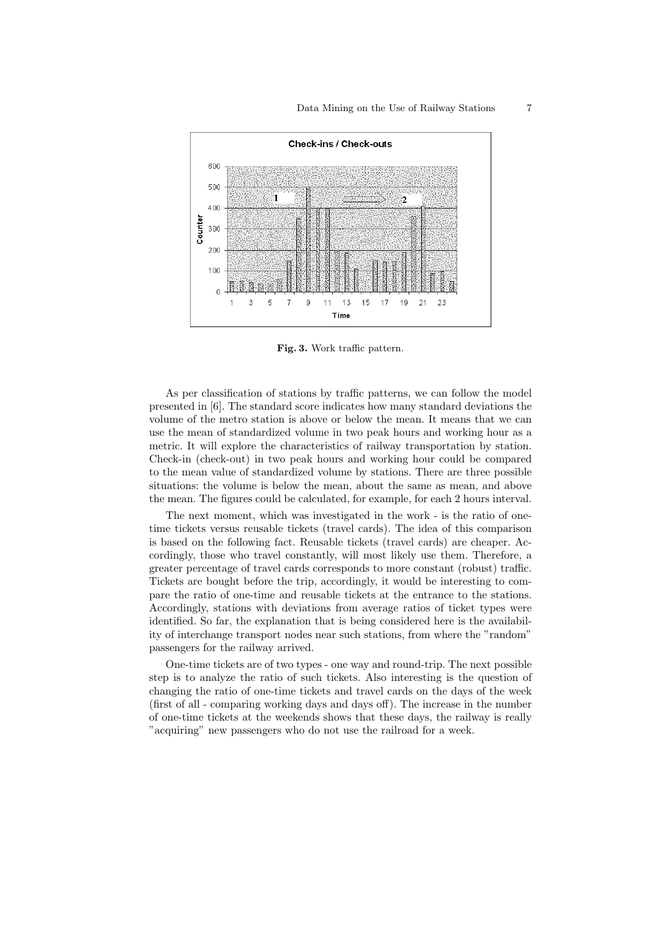

Fig. 3. Work traffic pattern.

As per classification of stations by traffic patterns, we can follow the model presented in [6]. The standard score indicates how many standard deviations the volume of the metro station is above or below the mean. It means that we can use the mean of standardized volume in two peak hours and working hour as a metric. It will explore the characteristics of railway transportation by station. Check-in (check-out) in two peak hours and working hour could be compared to the mean value of standardized volume by stations. There are three possible situations: the volume is below the mean, about the same as mean, and above the mean. The figures could be calculated, for example, for each 2 hours interval.

The next moment, which was investigated in the work - is the ratio of onetime tickets versus reusable tickets (travel cards). The idea of this comparison is based on the following fact. Reusable tickets (travel cards) are cheaper. Accordingly, those who travel constantly, will most likely use them. Therefore, a greater percentage of travel cards corresponds to more constant (robust) traffic. Tickets are bought before the trip, accordingly, it would be interesting to compare the ratio of one-time and reusable tickets at the entrance to the stations. Accordingly, stations with deviations from average ratios of ticket types were identified. So far, the explanation that is being considered here is the availability of interchange transport nodes near such stations, from where the "random" passengers for the railway arrived.

One-time tickets are of two types - one way and round-trip. The next possible step is to analyze the ratio of such tickets. Also interesting is the question of changing the ratio of one-time tickets and travel cards on the days of the week (first of all - comparing working days and days off). The increase in the number of one-time tickets at the weekends shows that these days, the railway is really "acquiring" new passengers who do not use the railroad for a week.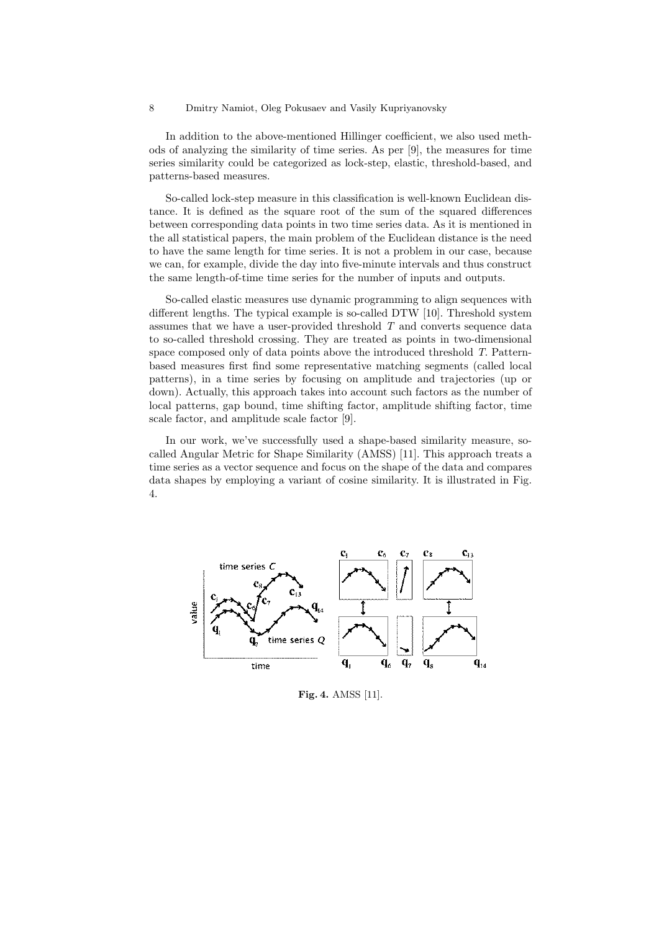In addition to the above-mentioned Hillinger coefficient, we also used methods of analyzing the similarity of time series. As per [9], the measures for time series similarity could be categorized as lock-step, elastic, threshold-based, and patterns-based measures.

So-called lock-step measure in this classification is well-known Euclidean distance. It is defined as the square root of the sum of the squared differences between corresponding data points in two time series data. As it is mentioned in the all statistical papers, the main problem of the Euclidean distance is the need to have the same length for time series. It is not a problem in our case, because we can, for example, divide the day into five-minute intervals and thus construct the same length-of-time time series for the number of inputs and outputs.

So-called elastic measures use dynamic programming to align sequences with different lengths. The typical example is so-called DTW [10]. Threshold system assumes that we have a user-provided threshold  $T$  and converts sequence data to so-called threshold crossing. They are treated as points in two-dimensional space composed only of data points above the introduced threshold T. Patternbased measures first find some representative matching segments (called local patterns), in a time series by focusing on amplitude and trajectories (up or down). Actually, this approach takes into account such factors as the number of local patterns, gap bound, time shifting factor, amplitude shifting factor, time scale factor, and amplitude scale factor [9].

In our work, we've successfully used a shape-based similarity measure, socalled Angular Metric for Shape Similarity (AMSS) [11]. This approach treats a time series as a vector sequence and focus on the shape of the data and compares data shapes by employing a variant of cosine similarity. It is illustrated in Fig. 4.



Fig. 4. AMSS [11].